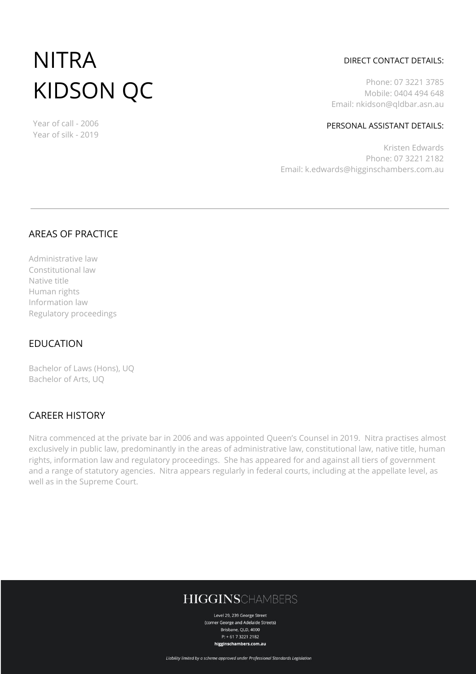# NITRA KIDSON QC

Year of call - 2006 Year of silk - 2019

#### DIRECT CONTACT DETAILS:

Phone: 07 3221 3785 Mobile: 0404 494 648 Email: nkidson@qldbar.asn.au

#### PERSONAL ASSISTANT DETAILS:

Kristen Edwards Phone: 07 3221 2182 Email: k.edwards@higginschambers.com.au

## AREAS OF PRACTICE

Administrative law Constitutional law Native title Human rights Information law Regulatory proceedings

## EDUCATION

Bachelor of Laws (Hons), UQ Bachelor of Arts, UQ

## CAREER HISTORY

Nitra commenced at the private bar in 2006 and was appointed Queen's Counsel in 2019. Nitra practises almost exclusively in public law, predominantly in the areas of administrative law, constitutional law, native title, human rights, information law and regulatory proceedings. She has appeared for and against all tiers of government and a range of statutory agencies. Nitra appears regularly in federal courts, including at the appellate level, as well as in the Supreme Court.

# **HIGGINSCHAMBERS**

Level 29, 239 George Street (corner George and Adelaide Streets) Brisbane, QLD, 4000 P: + 61 7 3221 2182 higginschambers.com.au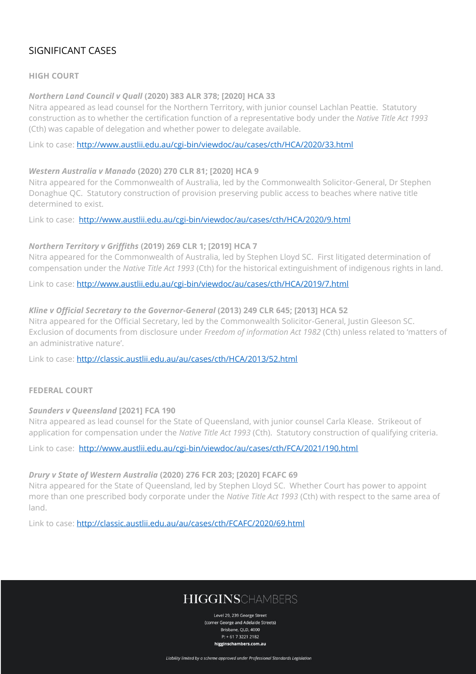## SIGNIFICANT CASES

#### **HIGH COURT**

#### *Northern Land Council v Quall* **(2020) 383 ALR 378; [2020] HCA 33**

Nitra appeared as lead counsel for the Northern Territory, with junior counsel Lachlan Peattie. Statutory construction as to whether the certification function of a representative body under the *Native Title Act 1993* (Cth) was capable of delegation and whether power to delegate available.

Link to case:<http://www.austlii.edu.au/cgi-bin/viewdoc/au/cases/cth/HCA/2020/33.html>

#### *Western Australia v Manado* **(2020) 270 CLR 81; [2020] HCA 9**

Nitra appeared for the Commonwealth of Australia, led by the Commonwealth Solicitor-General, Dr Stephen Donaghue QC. Statutory construction of provision preserving public access to beaches where native title determined to exist.

Link to case: <http://www.austlii.edu.au/cgi-bin/viewdoc/au/cases/cth/HCA/2020/9.html>

#### *Northern Territory v Griffiths* **(2019) 269 CLR 1; [2019] HCA 7**

Nitra appeared for the Commonwealth of Australia, led by Stephen Lloyd SC. First litigated determination of compensation under the *Native Title Act 1993* (Cth) for the historical extinguishment of indigenous rights in land.

Link to case:<http://www.austlii.edu.au/cgi-bin/viewdoc/au/cases/cth/HCA/2019/7.html>

#### *Kline v Official Secretary to the Governor-General* **(2013) 249 CLR 645; [2013] HCA 52**

Nitra appeared for the Official Secretary, led by the Commonwealth Solicitor-General, Justin Gleeson SC. Exclusion of documents from disclosure under *Freedom of information Act 1982* (Cth) unless related to 'matters of an administrative nature'.

Link to case:<http://classic.austlii.edu.au/au/cases/cth/HCA/2013/52.html>

#### **FEDERAL COURT**

#### *Saunders v Queensland* **[2021] FCA 190**

Nitra appeared as lead counsel for the State of Queensland, with junior counsel Carla Klease. Strikeout of application for compensation under the *Native Title Act 1993* (Cth). Statutory construction of qualifying criteria.

Link to case: <http://www.austlii.edu.au/cgi-bin/viewdoc/au/cases/cth/FCA/2021/190.html>

#### *Drury v State of Western Australia* **(2020) 276 FCR 203; [2020] FCAFC 69**

Nitra appeared for the State of Queensland, led by Stephen Lloyd SC. Whether Court has power to appoint more than one prescribed body corporate under the *Native Title Act 1993* (Cth) with respect to the same area of land.

Link to case:<http://classic.austlii.edu.au/au/cases/cth/FCAFC/2020/69.html>

# **HIGGINSCHAMBERS**

Level 29, 239 George Street (corner George and Adelaide Streets) Brisbane, QLD, 4000 P: + 61 7 3221 2182 higginschambers.com.au

Liability limited by a scheme approved under Professional Standards Legislation